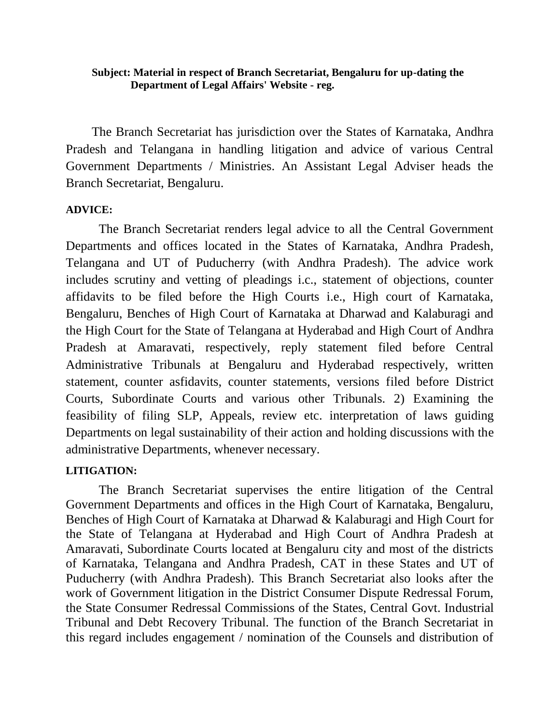### **Subject: Material in respect of Branch Secretariat, Bengaluru for up-dating the Department of Legal Affairs' Website - reg.**

The Branch Secretariat has jurisdiction over the States of Karnataka, Andhra Pradesh and Telangana in handling litigation and advice of various Central Government Departments / Ministries. An Assistant Legal Adviser heads the Branch Secretariat, Bengaluru.

# **ADVICE:**

The Branch Secretariat renders legal advice to all the Central Government Departments and offices located in the States of Karnataka, Andhra Pradesh, Telangana and UT of Puducherry (with Andhra Pradesh). The advice work includes scrutiny and vetting of pleadings i.c., statement of objections, counter affidavits to be filed before the High Courts i.e., High court of Karnataka, Bengaluru, Benches of High Court of Karnataka at Dharwad and Kalaburagi and the High Court for the State of Telangana at Hyderabad and High Court of Andhra Pradesh at Amaravati, respectively, reply statement filed before Central Administrative Tribunals at Bengaluru and Hyderabad respectively, written statement, counter asfidavits, counter statements, versions filed before District Courts, Subordinate Courts and various other Tribunals. 2) Examining the feasibility of filing SLP, Appeals, review etc. interpretation of laws guiding Departments on legal sustainability of their action and holding discussions with the administrative Departments, whenever necessary.

# **LITIGATION:**

The Branch Secretariat supervises the entire litigation of the Central Government Departments and offices in the High Court of Karnataka, Bengaluru, Benches of High Court of Karnataka at Dharwad & Kalaburagi and High Court for the State of Telangana at Hyderabad and High Court of Andhra Pradesh at Amaravati, Subordinate Courts located at Bengaluru city and most of the districts of Karnataka, Telangana and Andhra Pradesh, CAT in these States and UT of Puducherry (with Andhra Pradesh). This Branch Secretariat also looks after the work of Government litigation in the District Consumer Dispute Redressal Forum, the State Consumer Redressal Commissions of the States, Central Govt. Industrial Tribunal and Debt Recovery Tribunal. The function of the Branch Secretariat in this regard includes engagement / nomination of the Counsels and distribution of